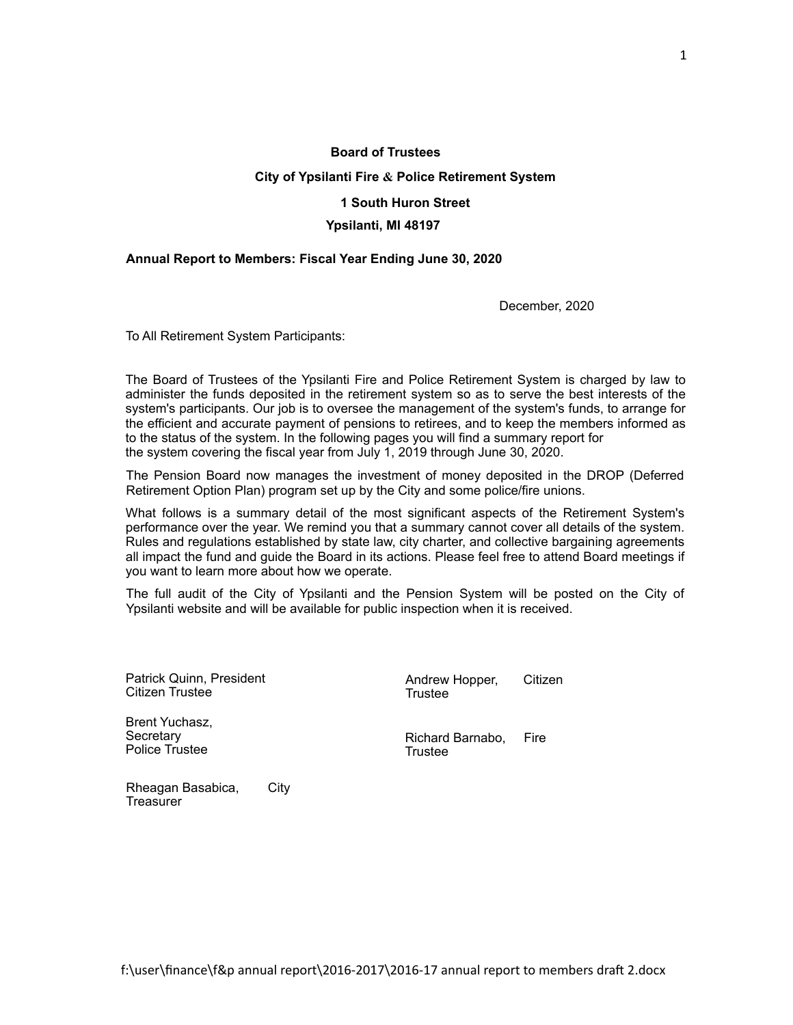#### **Board of Trustees**

## **City of Ypsilanti Fire & Police Retirement System**

## **1 South Huron Street**

#### **Ypsilanti, MI 48197**

#### **Annual Report to Members: Fiscal Year Ending June 30, 2020**

December, 2020

To All Retirement System Participants:

The Board of Trustees of the Ypsilanti Fire and Police Retirement System is charged by law to administer the funds deposited in the retirement system so as to serve the best interests of the system's participants. Our job is to oversee the management of the system's funds, to arrange for the efficient and accurate payment of pensions to retirees, and to keep the members informed as to the status of the system. In the following pages you will find a summary report for the system covering the fiscal year from July 1, 2019 through June 30, 2020.

The Pension Board now manages the investment of money deposited in the DROP (Deferred Retirement Option Plan) program set up by the City and some police/fire unions.

What follows is a summary detail of the most significant aspects of the Retirement System's performance over the year. We remind you that a summary cannot cover all details of the system. Rules and regulations established by state law, city charter, and collective bargaining agreements all impact the fund and guide the Board in its actions. Please feel free to attend Board meetings if you want to learn more about how we operate.

The full audit of the City of Ypsilanti and the Pension System will be posted on the City of Ypsilanti website and will be available for public inspection when it is received.

Patrick Quinn, President Citizen Trustee

Brent Yuchasz, **Secretary** Police Trustee

Andrew Hopper, Citizen Trustee

Richard Barnabo, Fire Trustee

Rheagan Basabica, City **Treasurer**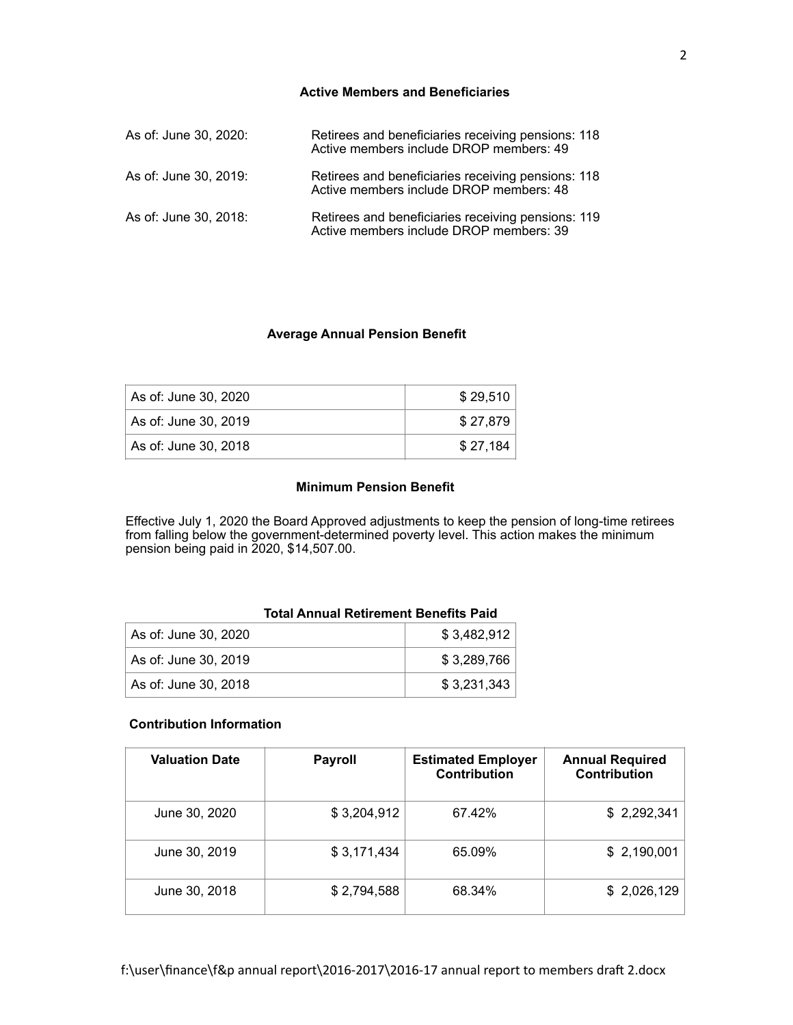## **Active Members and Beneficiaries**

| As of: June 30, 2020: | Retirees and beneficiaries receiving pensions: 118<br>Active members include DROP members: 49 |
|-----------------------|-----------------------------------------------------------------------------------------------|
| As of: June 30, 2019: | Retirees and beneficiaries receiving pensions: 118<br>Active members include DROP members: 48 |
| As of: June 30, 2018: | Retirees and beneficiaries receiving pensions: 119<br>Active members include DROP members: 39 |

# **Average Annual Pension Benefit**

| As of: June 30, 2020 | \$29.510 |
|----------------------|----------|
| As of: June 30, 2019 | \$27.879 |
| As of: June 30, 2018 | \$27.184 |

## **Minimum Pension Benefit**

Effective July 1, 2020 the Board Approved adjustments to keep the pension of long-time retirees from falling below the government-determined poverty level. This action makes the minimum pension being paid in 2020, \$14,507.00.

## **Total Annual Retirement Benefits Paid**

| As of: June 30, 2020 | \$3.482.912 |
|----------------------|-------------|
| As of: June 30, 2019 | \$3.289.766 |
| As of: June 30, 2018 | \$3.231.343 |

#### **Contribution Information**

| <b>Valuation Date</b> | <b>Payroll</b> | <b>Estimated Employer</b><br><b>Contribution</b> | <b>Annual Required</b><br><b>Contribution</b> |
|-----------------------|----------------|--------------------------------------------------|-----------------------------------------------|
| June 30, 2020         | \$3,204,912    | 67.42%                                           | \$2,292,341                                   |
| June 30, 2019         | \$3,171,434    | 65.09%                                           | \$2,190,001                                   |
| June 30, 2018         | \$2,794,588    | 68.34%                                           | \$2,026,129                                   |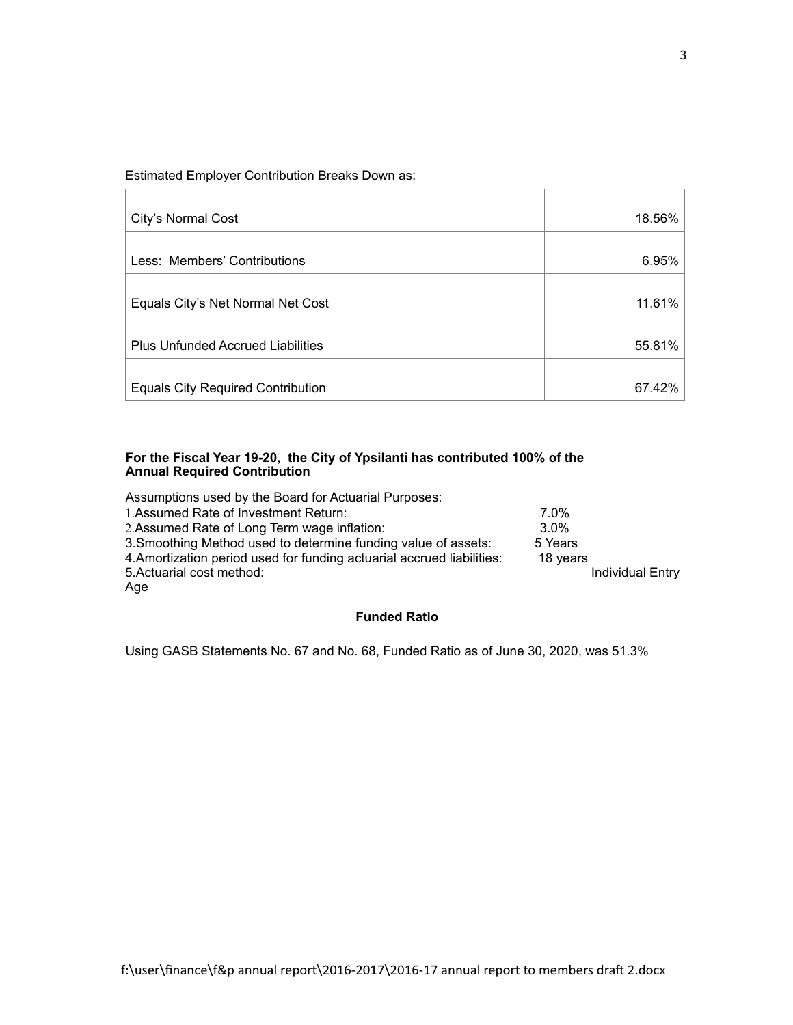Estimated Employer Contribution Breaks Down as:

| City's Normal Cost                       | 18.56% |
|------------------------------------------|--------|
| Less: Members' Contributions             | 6.95%  |
|                                          |        |
| Equals City's Net Normal Net Cost        | 11.61% |
| <b>Plus Unfunded Accrued Liabilities</b> | 55.81% |
| <b>Equals City Required Contribution</b> | 67.42% |

## **For the Fiscal Year 19-20, the City of Ypsilanti has contributed 100% of the Annual Required Contribution**

| Assumptions used by the Board for Actuarial Purposes:                  |                         |
|------------------------------------------------------------------------|-------------------------|
| 1. Assumed Rate of Investment Return:                                  | $7.0\%$                 |
| 2. Assumed Rate of Long Term wage inflation:                           | $3.0\%$                 |
| 3. Smoothing Method used to determine funding value of assets:         | 5 Years                 |
| 4. Amortization period used for funding actuarial accrued liabilities: | 18 years                |
| 5. Actuarial cost method:                                              | <b>Individual Entry</b> |
| Age                                                                    |                         |

# **Funded Ratio**

Using GASB Statements No. 67 and No. 68, Funded Ratio as of June 30, 2020, was 51.3%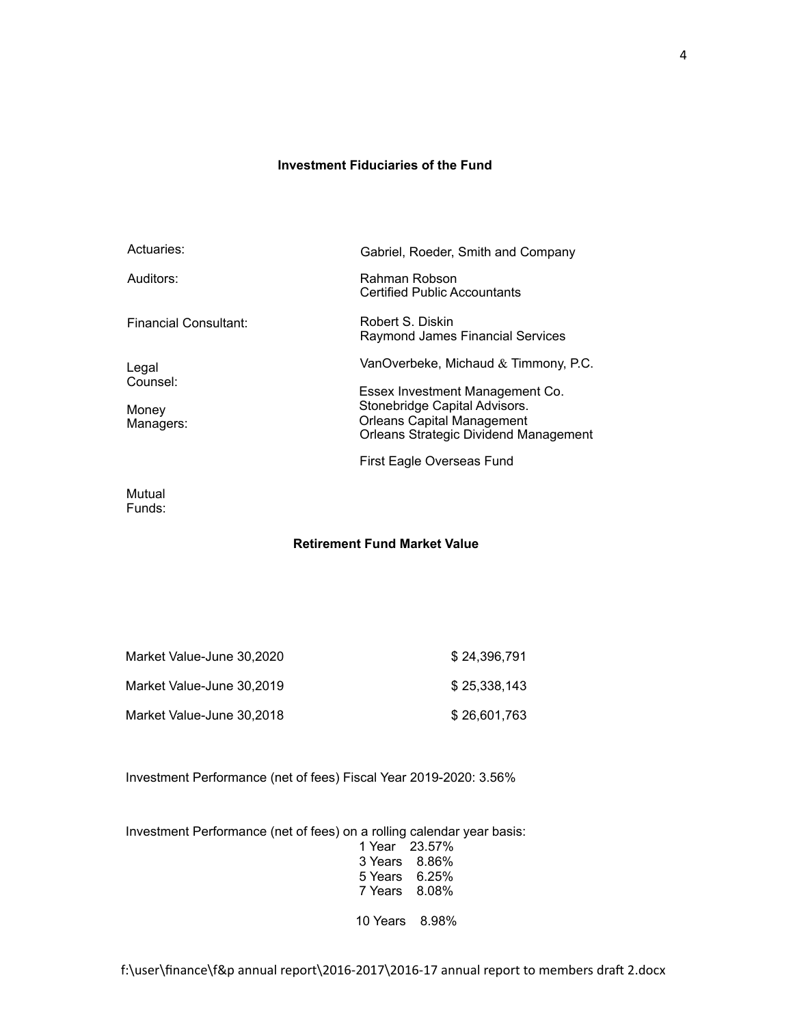# **Investment Fiduciaries of the Fund**

| Actuaries:                              | Gabriel, Roeder, Smith and Company                                                                                                                    |
|-----------------------------------------|-------------------------------------------------------------------------------------------------------------------------------------------------------|
| Auditors:                               | Rahman Robson<br><b>Certified Public Accountants</b>                                                                                                  |
| Financial Consultant:                   | Robert S. Diskin<br>Raymond James Financial Services                                                                                                  |
| Legal<br>Counsel:<br>Money<br>Managers: | VanOverbeke, Michaud $&$ Timmony, P.C.                                                                                                                |
|                                         | Essex Investment Management Co.<br>Stonebridge Capital Advisors.<br><b>Orleans Capital Management</b><br><b>Orleans Strategic Dividend Management</b> |
|                                         | First Eagle Overseas Fund                                                                                                                             |
| 1.1.1.1                                 |                                                                                                                                                       |

Mutual Funds:

# **Retirement Fund Market Value**

| Market Value-June 30,2020 | \$24.396.791 |
|---------------------------|--------------|
| Market Value-June 30.2019 | \$25.338.143 |
| Market Value-June 30,2018 | \$26.601.763 |

Investment Performance (net of fees) Fiscal Year 2019-2020: 3.56%

Investment Performance (net of fees) on a rolling calendar year basis:

|          | 1 Year 23.57% |
|----------|---------------|
| 3 Years  | 8.86%         |
| 5 Years  | 6.25%         |
| 7 Years  | 8.08%         |
|          |               |
| 10 Years | 8.98%         |